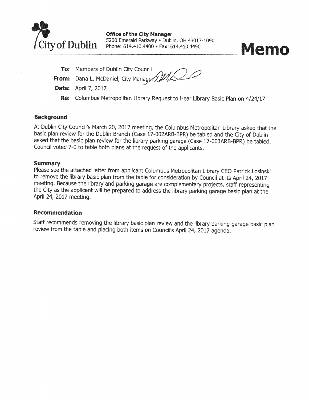

**Office of the City Manager** 5200 Emerald Parkway . Dublin, OH 43017-1090 Phone: 614.410.4400 · Fax: 614.410.4490



To: Members of Dublin City Council From: Dana L. McDaniel, City Manager XIII **Date:** April 7, 2017

Re: Columbus Metropolitan Library Request to Hear Library Basic Plan on 4/24/17

#### **Background**

At Dublin City Council's March 20, 2017 meeting, the Columbus Metropolitan Library asked that the basic plan review for the Dublin Branch (Case 17-002ARB-BPR) be tabled and the City of Dublin asked that the basic plan review for the library parking garage (Case 17-003ARB-BPR) be tabled. Council voted 7-0 to table both plans at the request of the applicants.

#### **Summary**

Please see the attached letter from applicant Columbus Metropolitan Library CEO Patrick Losinski to remove the library basic plan from the table for consideration by Council at its April 24, 2017 meeting. Because the library and parking garage are complementary projects, staff representing the City as the applicant will be prepared to address the library parking garage basic plan at the April 24, 2017 meeting.

#### **Recommendation**

Staff recommends removing the library basic plan review and the library parking garage basic plan review from the table and placing both items on Council's April 24, 2017 agenda.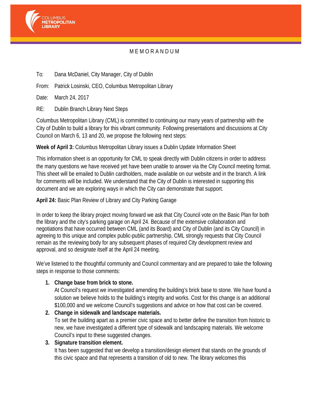

# M E M O R A N D U M

To: Dana McDaniel, City Manager, City of Dublin

From: Patrick Losinski, CEO, Columbus Metropolitan Library

Date: March 24, 2017

RE: Dublin Branch Library Next Steps

Columbus Metropolitan Library (CML) is committed to continuing our many years of partnership with the City of Dublin to build a library for this vibrant community. Following presentations and discussions at City Council on March 6, 13 and 20, we propose the following next steps:

### **Week of April 3:** Columbus Metropolitan Library issues a Dublin Update Information Sheet

This information sheet is an opportunity for CML to speak directly with Dublin citizens in order to address the many questions we have received yet have been unable to answer via the City Council meeting format. This sheet will be emailed to Dublin cardholders, made available on our website and in the branch. A link for comments will be included. We understand that the City of Dublin is interested in supporting this document and we are exploring ways in which the City can demonstrate that support.

### **April 24:** Basic Plan Review of Library and City Parking Garage

In order to keep the library project moving forward we ask that City Council vote on the Basic Plan for both the library and the city's parking garage on April 24. Because of the extensive collaboration and negotiations that have occurred between CML (and its Board) and City of Dublin (and its City Council) in agreeing to this unique and complex public-public partnership, CML strongly requests that City Council remain as the reviewing body for any subsequent phases of required City development review and approval, and so designate itself at the April 24 meeting.

We've listened to the thoughtful community and Council commentary and are prepared to take the following steps in response to those comments:

### **1. Change base from brick to stone.**

At Council's request we investigated amending the building's brick base to stone. We have found a solution we believe holds to the building's integrity and works. Cost for this change is an additional \$100,000 and we welcome Council's suggestions and advice on how that cost can be covered.

**2. Change in sidewalk and landscape materials.**  To set the building apart as a premier civic space and to better define the transition from historic to new, we have investigated a different type of sidewalk and landscaping materials. We welcome Council's input to these suggested changes.

## **3. Signature transition element.**

It has been suggested that we develop a transition/design element that stands on the grounds of this civic space and that represents a transition of old to new. The library welcomes this